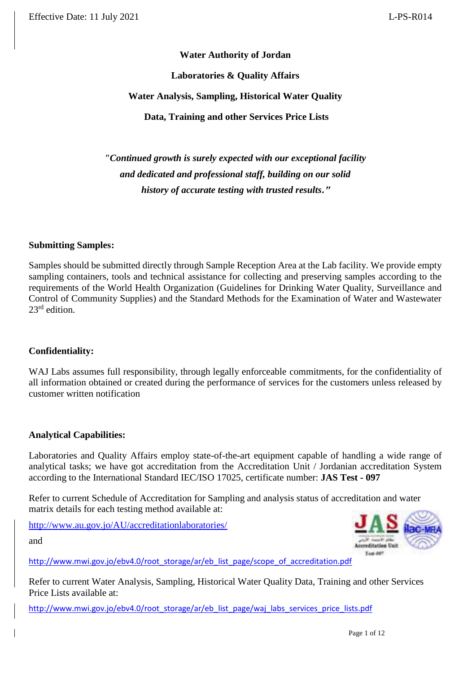#### **Water Authority of Jordan**

#### **Laboratories & Quality Affairs**

#### **Water Analysis, Sampling, Historical Water Quality**

**Data, Training and other Services Price Lists**

*"Continued growth is surely expected with our exceptional facility and dedicated and professional staff, building on our solid history of accurate testing with trusted results***."**

#### **Submitting Samples:**

Samples should be submitted directly through Sample Reception Area at the Lab facility. We provide empty sampling containers, tools and technical assistance for collecting and preserving samples according to the requirements of the World Health Organization (Guidelines for Drinking Water Quality, Surveillance and Control of Community Supplies) and the Standard Methods for the Examination of Water and Wastewater  $23<sup>rd</sup>$  edition.

#### **Confidentiality:**

WAJ Labs assumes full responsibility, through legally enforceable commitments, for the confidentiality of all information obtained or created during the performance of services for the customers unless released by customer written notification

#### **Analytical Capabilities:**

Laboratories and Quality Affairs employ state-of-the-art equipment capable of handling a wide range of analytical tasks; we have got accreditation from the Accreditation Unit / Jordanian accreditation System according to the International Standard IEC/ISO 17025, certificate number: **JAS Test - 097**

Refer to current Schedule of Accreditation for Sampling and analysis status of accreditation and water matrix details for each testing method available at:

<http://www.au.gov.jo/AU/accreditationlaboratories/>

and



[http://www.mwi.gov.jo/ebv4.0/root\\_storage/ar/eb\\_list\\_page/scope\\_of\\_accreditation.pdf](http://www.mwi.gov.jo/ebv4.0/root_storage/ar/eb_list_page/scope_of_accreditation.pdf)

Refer to current Water Analysis, Sampling, Historical Water Quality Data, Training and other Services Price Lists available at:

http://www.mwi.gov.jo/ebv4.0/root\_storage/ar/eb\_list\_page/waj\_labs\_services\_price\_lists.pdf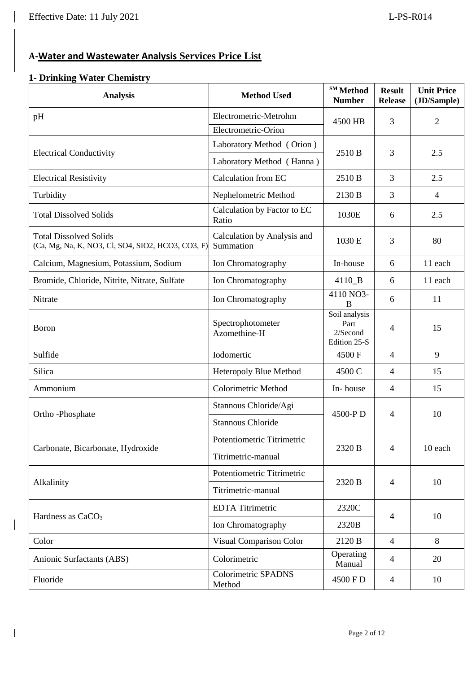$\overline{\phantom{a}}$ 

 $\overline{\phantom{a}}$ 

# **A-Water and Wastewater Analysis Services Price List**

# **1- Drinking Water Chemistry**

| <b>Analysis</b>                                                                    | <b>Method Used</b>                       | SM Method<br><b>Number</b>                        | <b>Result</b><br><b>Release</b> | <b>Unit Price</b><br>(JD/Sample) |
|------------------------------------------------------------------------------------|------------------------------------------|---------------------------------------------------|---------------------------------|----------------------------------|
| pH                                                                                 | Electrometric-Metrohm                    | 4500 HB                                           | 3                               | $\overline{2}$                   |
|                                                                                    | Electrometric-Orion                      |                                                   |                                 |                                  |
|                                                                                    | Laboratory Method (Orion)                | 2510 B                                            |                                 |                                  |
| <b>Electrical Conductivity</b>                                                     | Laboratory Method (Hanna)                |                                                   | 3                               | 2.5                              |
| <b>Electrical Resistivity</b>                                                      | Calculation from EC                      | 2510 B                                            | 3                               | 2.5                              |
| Turbidity                                                                          | Nephelometric Method                     | 2130 B                                            | 3                               | $\overline{4}$                   |
| <b>Total Dissolved Solids</b>                                                      | Calculation by Factor to EC<br>Ratio     | 1030E                                             | 6                               | 2.5                              |
| <b>Total Dissolved Solids</b><br>(Ca, Mg, Na, K, NO3, Cl, SO4, SIO2, HCO3, CO3, F) | Calculation by Analysis and<br>Summation | 1030 E                                            | 3                               | 80                               |
| Calcium, Magnesium, Potassium, Sodium                                              | Ion Chromatography                       | In-house                                          | 6                               | 11 each                          |
| Bromide, Chloride, Nitrite, Nitrate, Sulfate                                       | Ion Chromatography                       | $4110$ <sub>B</sub>                               | 6                               | 11 each                          |
| Nitrate                                                                            | Ion Chromatography                       | 4110 NO3-<br>B                                    |                                 | 11                               |
| Boron                                                                              | Spectrophotometer<br>Azomethine-H        | Soil analysis<br>Part<br>2/Second<br>Edition 25-S | $\overline{4}$                  | 15                               |
| Sulfide                                                                            | Iodomertic                               | 4500F                                             | $\overline{4}$                  | 9                                |
| Silica                                                                             | Heteropoly Blue Method                   | 4500 C                                            | $\overline{4}$                  | 15                               |
| Ammonium                                                                           | Colorimetric Method                      | In-house                                          | $\overline{4}$                  | 15                               |
| Ortho-Phosphate                                                                    | Stannous Chloride/Agi                    | 4500-PD                                           | $\overline{4}$                  | 10                               |
|                                                                                    | <b>Stannous Chloride</b>                 |                                                   |                                 |                                  |
|                                                                                    | Potentiometric Titrimetric               |                                                   |                                 |                                  |
| Carbonate, Bicarbonate, Hydroxide                                                  | Titrimetric-manual                       | 2320 B                                            | $\overline{4}$                  | 10 each                          |
|                                                                                    | Potentiometric Titrimetric               |                                                   |                                 |                                  |
| Alkalinity                                                                         | Titrimetric-manual                       | 2320 B                                            | $\overline{4}$                  | 10                               |
|                                                                                    | <b>EDTA</b> Titrimetric                  | 2320C                                             |                                 |                                  |
| Hardness as CaCO <sub>3</sub>                                                      | Ion Chromatography                       | 2320B                                             | $\overline{4}$                  | 10                               |
| Color                                                                              | Visual Comparison Color                  | 2120 B                                            | $\overline{4}$                  | 8                                |
| Anionic Surfactants (ABS)                                                          | Colorimetric                             | Operating<br>Manual                               | $\overline{4}$                  | 20                               |
| Fluoride                                                                           | <b>Colorimetric SPADNS</b><br>Method     | 4500 F D                                          | $\overline{4}$                  | 10                               |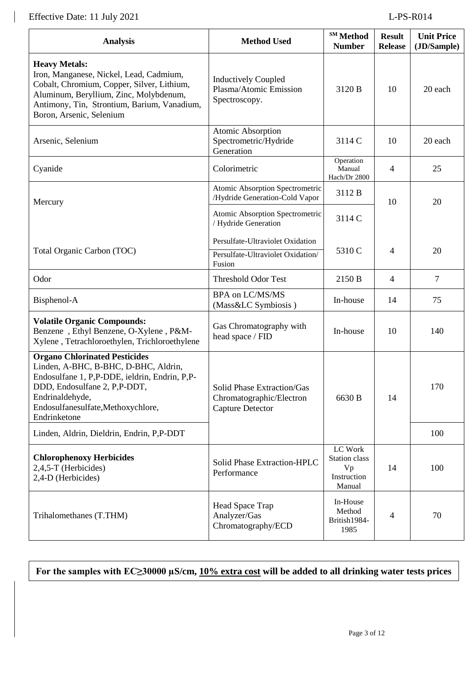$\mathbf{I}$ 

| <b>Analysis</b>                                                                                                                                                                                                                        | <b>Method Used</b>                                                                | SM Method<br><b>Number</b>                              | <b>Result</b><br><b>Release</b> | <b>Unit Price</b><br>(JD/Sample) |
|----------------------------------------------------------------------------------------------------------------------------------------------------------------------------------------------------------------------------------------|-----------------------------------------------------------------------------------|---------------------------------------------------------|---------------------------------|----------------------------------|
| <b>Heavy Metals:</b><br>Iron, Manganese, Nickel, Lead, Cadmium,<br>Cobalt, Chromium, Copper, Silver, Lithium,<br>Aluminum, Beryllium, Zinc, Molybdenum,<br>Antimony, Tin, Strontium, Barium, Vanadium,<br>Boron, Arsenic, Selenium     | <b>Inductively Coupled</b><br>Plasma/Atomic Emission<br>Spectroscopy.             | 3120 B                                                  | 10                              | 20 each                          |
| Arsenic, Selenium                                                                                                                                                                                                                      | Atomic Absorption<br>Spectrometric/Hydride<br>Generation                          | 3114 C                                                  | 10                              | 20 each                          |
| Cyanide                                                                                                                                                                                                                                | Colorimetric                                                                      | Operation<br>Manual<br>Hach/Dr 2800                     | $\overline{4}$                  | 25                               |
| Mercury                                                                                                                                                                                                                                | Atomic Absorption Spectrometric<br>/Hydride Generation-Cold Vapor                 | 3112 B                                                  | 10                              | 20                               |
|                                                                                                                                                                                                                                        | Atomic Absorption Spectrometric<br>/ Hydride Generation                           | 3114 C                                                  |                                 |                                  |
| Persulfate-Ultraviolet Oxidation<br>Total Organic Carbon (TOC)<br>Persulfate-Ultraviolet Oxidation/<br>Fusion                                                                                                                          |                                                                                   | 5310 C                                                  | $\overline{4}$                  | 20                               |
| Odor                                                                                                                                                                                                                                   | <b>Threshold Odor Test</b>                                                        | 2150 B                                                  | $\overline{4}$                  | 7                                |
| Bisphenol-A                                                                                                                                                                                                                            | BPA on LC/MS/MS<br>(Mass&LC Symbiosis)                                            |                                                         | 14                              | 75                               |
| <b>Volatile Organic Compounds:</b><br>Benzene, Ethyl Benzene, O-Xylene, P&M-<br>Xylene, Tetrachloroethylen, Trichloroethylene                                                                                                          | Gas Chromatography with<br>head space / FID                                       | In-house                                                | 10                              | 140                              |
| <b>Organo Chlorinated Pesticides</b><br>Linden, A-BHC, B-BHC, D-BHC, Aldrin,<br>Endosulfane 1, P,P-DDE, ieldrin, Endrin, P,P-<br>DDD, Endosulfane 2, P,P-DDT,<br>Endrinaldehyde,<br>Endosulfanesulfate, Methoxychlore,<br>Endrinketone | Solid Phase Extraction/Gas<br>Chromatographic/Electron<br><b>Capture Detector</b> | 6630 B                                                  | 14                              | 170                              |
| Linden, Aldrin, Dieldrin, Endrin, P,P-DDT                                                                                                                                                                                              |                                                                                   |                                                         |                                 | 100                              |
| <b>Chlorophenoxy Herbicides</b><br>2,4,5-T (Herbicides)<br>2,4-D (Herbicides)                                                                                                                                                          | Solid Phase Extraction-HPLC<br>Performance                                        | LC Work<br>Station class<br>Vp<br>Instruction<br>Manual | 14                              | 100                              |
| Trihalomethanes (T.THM)                                                                                                                                                                                                                | Head Space Trap<br>Analyzer/Gas<br>Chromatography/ECD                             | In-House<br>Method<br>British1984-<br>1985              | 4                               | 70                               |

**For the samples with EC≥30000 µS/cm, 10% extra cost will be added to all drinking water tests prices**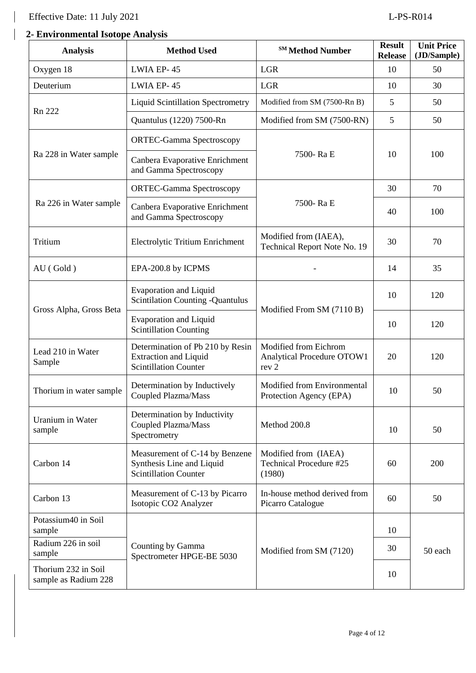# **2- 2- Environmental Isotope Analysis**

| <b>Analysis</b>                             | <b>Method Used</b>                                                                                                                                                          | <sup>SM</sup> Method Number                               | <b>Result</b><br><b>Release</b> | <b>Unit Price</b><br>(JD/Sample) |
|---------------------------------------------|-----------------------------------------------------------------------------------------------------------------------------------------------------------------------------|-----------------------------------------------------------|---------------------------------|----------------------------------|
| Oxygen 18                                   | LWIA EP-45                                                                                                                                                                  | LGR                                                       | 10                              | 50                               |
| Deuterium                                   | LWIA EP-45                                                                                                                                                                  | LGR                                                       | 10                              | 30                               |
| Rn 222                                      | <b>Liquid Scintillation Spectrometry</b>                                                                                                                                    | Modified from SM (7500-Rn B)                              | 5                               | 50                               |
|                                             | Quantulus (1220) 7500-Rn                                                                                                                                                    | Modified from SM (7500-RN)                                | 5                               | 50                               |
|                                             | <b>ORTEC-Gamma Spectroscopy</b>                                                                                                                                             |                                                           |                                 |                                  |
| Ra 228 in Water sample                      | Canbera Evaporative Enrichment<br>and Gamma Spectroscopy                                                                                                                    | 7500-Ra E                                                 | 10                              | 100                              |
|                                             | <b>ORTEC-Gamma Spectroscopy</b>                                                                                                                                             |                                                           | 30                              | 70                               |
| Ra 226 in Water sample                      | Canbera Evaporative Enrichment<br>and Gamma Spectroscopy                                                                                                                    | 7500-Ra E                                                 | 40                              | 100                              |
| Tritium                                     | Electrolytic Tritium Enrichment                                                                                                                                             | Modified from (IAEA),<br>Technical Report Note No. 19     | 30                              | 70                               |
| AU (Gold)                                   | EPA-200.8 by ICPMS                                                                                                                                                          |                                                           | 14                              | 35                               |
|                                             | <b>Evaporation and Liquid</b><br><b>Scintilation Counting -Quantulus</b>                                                                                                    | Modified From SM (7110 B)                                 | 10                              | 120                              |
| Gross Alpha, Gross Beta                     | <b>Evaporation and Liquid</b><br><b>Scintillation Counting</b>                                                                                                              |                                                           | 10                              | 120                              |
| Lead 210 in Water<br>Sample                 | Modified from Eichrom<br>Determination of Pb 210 by Resin<br><b>Extraction and Liquid</b><br>Analytical Procedure OTOW1<br><b>Scintillation Counter</b><br>rev <sub>2</sub> |                                                           | 20                              | 120                              |
| Thorium in water sample                     | Modified from Environmental<br>Determination by Inductively<br>Coupled Plazma/Mass<br>Protection Agency (EPA)                                                               |                                                           | 10                              | 50                               |
| <b>Uranium</b> in Water<br>sample           | Determination by Inductivity<br>Coupled Plazma/Mass<br>Spectrometry                                                                                                         | Method 200.8                                              | 10                              | 50                               |
| Carbon 14                                   | Measurement of C-14 by Benzene<br>Synthesis Line and Liquid<br><b>Scintillation Counter</b>                                                                                 | Modified from (IAEA)<br>Technical Procedure #25<br>(1980) | 60                              | 200                              |
| Carbon 13                                   | Measurement of C-13 by Picarro<br>Isotopic CO2 Analyzer                                                                                                                     | In-house method derived from<br>Picarro Catalogue         | 60                              | 50                               |
| Potassium40 in Soil<br>sample               |                                                                                                                                                                             |                                                           | 10                              |                                  |
| Radium 226 in soil<br>sample                | Counting by Gamma<br>Spectrometer HPGE-BE 5030                                                                                                                              | Modified from SM (7120)                                   | 30                              | 50 each                          |
| Thorium 232 in Soil<br>sample as Radium 228 |                                                                                                                                                                             |                                                           | 10                              |                                  |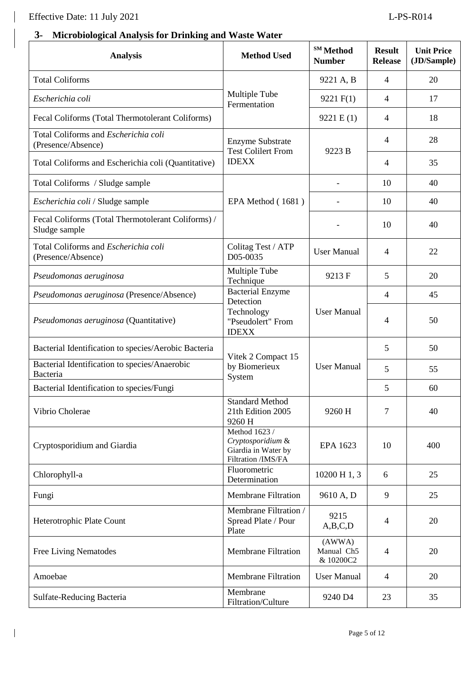$\overline{\phantom{a}}$ 

# **3- Microbiological Analysis for Drinking and Waste Water**

| <b>Analysis</b>                                                     | <b>Method Used</b>                                                                           | SM Method<br><b>Number</b>        | <b>Result</b><br><b>Release</b> | <b>Unit Price</b><br>(JD/Sample) |
|---------------------------------------------------------------------|----------------------------------------------------------------------------------------------|-----------------------------------|---------------------------------|----------------------------------|
| <b>Total Coliforms</b>                                              |                                                                                              | 9221 A, B                         | $\overline{4}$                  | 20                               |
| Escherichia coli                                                    | Multiple Tube<br>Fermentation                                                                | 9221 F(1)                         | $\overline{4}$                  | 17                               |
| Fecal Coliforms (Total Thermotolerant Coliforms)                    |                                                                                              | 9221 E(1)                         | $\overline{4}$                  | 18                               |
| Total Coliforms and <i>Escherichia coli</i><br>(Presence/Absence)   | <b>Enzyme Substrate</b><br><b>Test Colilert From</b>                                         | 9223 B                            | $\overline{4}$                  | 28                               |
| Total Coliforms and Escherichia coli (Quantitative)                 | <b>IDEXX</b>                                                                                 |                                   | $\overline{4}$                  | 35                               |
| Total Coliforms / Sludge sample                                     |                                                                                              |                                   | 10                              | 40                               |
| Escherichia coli / Sludge sample                                    | EPA Method (1681)                                                                            |                                   | 10                              | 40                               |
| Fecal Coliforms (Total Thermotolerant Coliforms) /<br>Sludge sample |                                                                                              |                                   | 10                              | 40                               |
| Total Coliforms and Escherichia coli<br>(Presence/Absence)          | Colitag Test / ATP<br>D05-0035                                                               | <b>User Manual</b>                | 4                               | 22                               |
| Pseudomonas aeruginosa                                              | Multiple Tube<br>Technique                                                                   | 9213F                             | 5                               | 20                               |
| Pseudomonas aeruginosa (Presence/Absence)                           | Bacterial Enzyme<br>Detection                                                                |                                   | $\overline{4}$                  | 45                               |
| Pseudomonas aeruginosa (Quantitative)                               | Technology<br>"Pseudolert" From<br><b>IDEXX</b>                                              | <b>User Manual</b>                | 4                               | 50                               |
| Bacterial Identification to species/Aerobic Bacteria                | Vitek 2 Compact 15                                                                           | <b>User Manual</b>                | 5                               | 50                               |
| Bacterial Identification to species/Anaerobic<br>Bacteria           | by Biomerieux                                                                                |                                   | 5                               | 55                               |
| Bacterial Identification to species/Fungi                           | System                                                                                       |                                   | 5                               | 60                               |
| Vibrio Cholerae                                                     | <b>Standard Method</b><br>21th Edition 2005<br>9260 H                                        | 9260 H                            | 7                               | 40                               |
| Cryptosporidium and Giardia                                         | Method $16\overline{23}$ /<br>Cryptosporidium &<br>Giardia in Water by<br>Filtration /IMS/FA | EPA 1623                          | 10                              | 400                              |
| Chlorophyll-a                                                       | Fluorometric<br>Determination                                                                | 10200 H 1, 3                      | 6                               | 25                               |
| Fungi                                                               | <b>Membrane Filtration</b>                                                                   | 9610 A, D                         | 9                               | 25                               |
| Heterotrophic Plate Count                                           | Membrane Filtration /<br>Spread Plate / Pour<br>Plate                                        | 9215<br>A,B,C,D                   | $\overline{4}$                  | 20                               |
| <b>Free Living Nematodes</b>                                        | <b>Membrane Filtration</b>                                                                   | (AWWA)<br>Manual Ch5<br>& 10200C2 | $\overline{4}$                  | 20                               |
| Amoebae                                                             | <b>Membrane Filtration</b>                                                                   | <b>User Manual</b>                | $\overline{4}$                  | 20                               |
| Sulfate-Reducing Bacteria                                           | Membrane<br>Filtration/Culture                                                               | 9240 D4                           | 23                              | 35                               |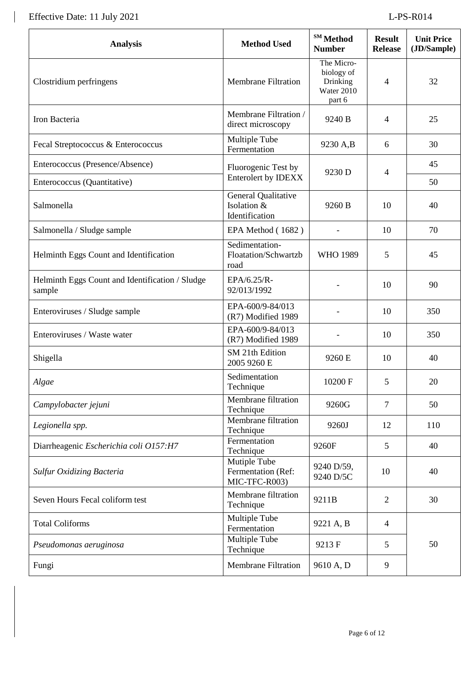Effective Date: 11 July 2021 L-PS-R014

 $\begin{array}{c} \hline \end{array}$ 

| <b>Analysis</b>                                           | <b>Method Used</b>                                   | SM Method<br><b>Number</b>                                   | <b>Result</b><br><b>Release</b> | <b>Unit Price</b><br>(JD/Sample) |
|-----------------------------------------------------------|------------------------------------------------------|--------------------------------------------------------------|---------------------------------|----------------------------------|
| Clostridium perfringens                                   | <b>Membrane Filtration</b>                           | The Micro-<br>biology of<br>Drinking<br>Water 2010<br>part 6 | 4                               | 32                               |
| Iron Bacteria                                             | Membrane Filtration /<br>direct microscopy           | 9240 B                                                       | 4                               | 25                               |
| Fecal Streptococcus & Enterococcus                        | Multiple Tube<br>Fermentation                        | 9230 A,B                                                     | 6                               | 30                               |
| Enterococcus (Presence/Absence)                           | Fluorogenic Test by                                  | 9230 D                                                       | 4                               | 45                               |
| Enterococcus (Quantitative)                               | <b>Enterolert by IDEXX</b>                           |                                                              |                                 | 50                               |
| Salmonella                                                | General Qualitative<br>Isolation &<br>Identification | 9260 B                                                       | 10                              | 40                               |
| Salmonella / Sludge sample                                | EPA Method (1682)                                    |                                                              | 10                              | 70                               |
| Helminth Eggs Count and Identification                    | Sedimentation-<br>Floatation/Schwartzb<br>road       | <b>WHO 1989</b>                                              | 5                               | 45                               |
| Helminth Eggs Count and Identification / Sludge<br>sample | EPA/6.25/R-<br>92/013/1992                           |                                                              | 10                              | 90                               |
| Enteroviruses / Sludge sample                             | EPA-600/9-84/013<br>(R7) Modified 1989               |                                                              | 10                              | 350                              |
| Enteroviruses / Waste water                               | EPA-600/9-84/013<br>(R7) Modified 1989               |                                                              | 10                              | 350                              |
| Shigella                                                  | SM 21th Edition<br>2005 9260 E                       | 9260 E                                                       | 10                              | 40                               |
| Algae                                                     | Sedimentation<br>Technique                           | 10200 F                                                      | 5                               | 20                               |
| Campylobacter jejuni                                      | Membrane filtration<br>Technique                     | 9260G                                                        | 7                               | 50                               |
| Legionella spp.                                           | Membrane filtration<br>Technique                     | 9260J                                                        | 12                              | 110                              |
| Diarrheagenic Escherichia coli O157:H7                    | Fermentation<br>Technique                            | 9260F                                                        | 5                               | 40                               |
| <b>Sulfur Oxidizing Bacteria</b>                          | Mutiple Tube<br>Fermentation (Ref:<br>MIC-TFC-R003)  | 9240 D/59,<br>9240 D/5C                                      | 10                              | 40                               |
| Seven Hours Fecal coliform test                           | Membrane filtration<br>Technique                     | 9211B                                                        | $\overline{2}$                  | 30                               |
| <b>Total Coliforms</b>                                    | Multiple Tube<br>Fermentation                        | 9221 A, B                                                    | $\overline{4}$                  |                                  |
| Pseudomonas aeruginosa                                    | Multiple Tube<br>Technique                           | 9213 F                                                       | 5                               | 50                               |
| Fungi                                                     | <b>Membrane Filtration</b>                           | 9610 A, D                                                    | 9                               |                                  |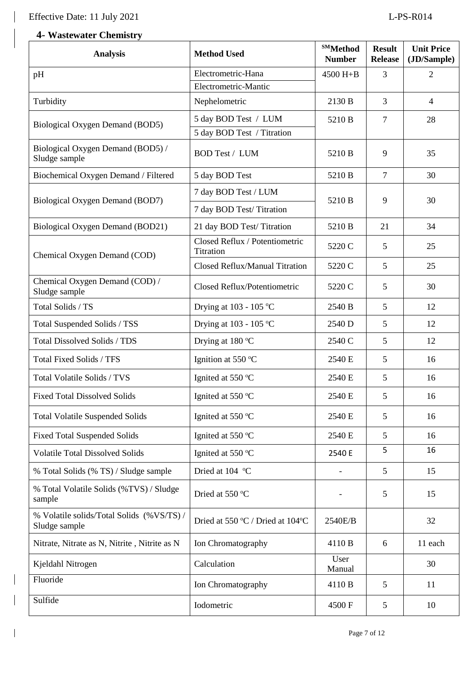$\overline{\phantom{a}}$ 

 $\overline{\phantom{a}}$ 

# **4- Wastewater Chemistry**

| <b>Analysis</b>                                           | <b>Method Used</b>                                 | <b>SMMethod</b><br><b>Number</b> | <b>Result</b><br><b>Release</b> | <b>Unit Price</b><br>(JD/Sample) |
|-----------------------------------------------------------|----------------------------------------------------|----------------------------------|---------------------------------|----------------------------------|
| pH                                                        | Electrometric-Hana                                 | 4500 H+B                         | $\overline{3}$                  | $\overline{2}$                   |
|                                                           | Electrometric-Mantic                               |                                  |                                 |                                  |
| Turbidity                                                 | Nephelometric                                      | 2130 B                           | 3                               | $\overline{4}$                   |
| Biological Oxygen Demand (BOD5)                           | 5 day BOD Test / LUM<br>5 day BOD Test / Titration | 5210 B                           | $\overline{7}$                  | 28                               |
| Biological Oxygen Demand (BOD5) /<br>Sludge sample        | <b>BOD Test / LUM</b>                              | 5210 B                           | 9                               | 35                               |
| Biochemical Oxygen Demand / Filtered                      | 5 day BOD Test                                     | 5210 B                           | $\overline{7}$                  | 30                               |
| Biological Oxygen Demand (BOD7)                           | 7 day BOD Test / LUM                               | 5210 B                           | 9                               | 30                               |
|                                                           | 7 day BOD Test/Titration                           |                                  |                                 |                                  |
| Biological Oxygen Demand (BOD21)                          | 21 day BOD Test/Titration                          | 5210 B                           | 21                              | 34                               |
| Chemical Oxygen Demand (COD)                              | Closed Reflux / Potentiometric<br>Titration        | 5220 C                           | 5                               | 25                               |
|                                                           | Closed Reflux/Manual Titration                     | 5220 C                           | 5                               | 25                               |
| Chemical Oxygen Demand (COD) /<br>Sludge sample           | Closed Reflux/Potentiometric                       | 5220 C                           | 5                               | 30                               |
| Total Solids / TS                                         | Drying at $103 - 105$ °C                           | 2540 B                           | 5                               | 12                               |
| Total Suspended Solids / TSS                              | Drying at $103 - 105$ °C                           | 2540 D                           | 5                               | 12                               |
| <b>Total Dissolved Solids / TDS</b>                       | Drying at 180 °C                                   | 2540 C                           | 5                               | 12                               |
| Total Fixed Solids / TFS                                  | Ignition at 550 °C                                 | 2540 E                           | 5                               | 16                               |
| Total Volatile Solids / TVS                               | Ignited at 550 °C                                  | 2540 E                           | 5                               | 16                               |
| <b>Fixed Total Dissolved Solids</b>                       | Ignited at 550 °C                                  | 2540 E                           | 5                               | 16                               |
| <b>Total Volatile Suspended Solids</b>                    | Ignited at 550 °C                                  | 2540 E                           | 5                               | 16                               |
| <b>Fixed Total Suspended Solids</b>                       | Ignited at 550 °C                                  | 2540 E                           | 5                               | 16                               |
| <b>Volatile Total Dissolved Solids</b>                    | Ignited at 550 °C                                  | 2540 E                           | 5                               | 16                               |
| % Total Solids (% TS) / Sludge sample                     | Dried at 104 °C                                    | $\overline{\phantom{a}}$         | 5                               | 15                               |
| % Total Volatile Solids (%TVS) / Sludge<br>sample         | Dried at 550 °C                                    |                                  | 5                               | 15                               |
| % Volatile solids/Total Solids (%VS/TS)/<br>Sludge sample | Dried at 550 °C / Dried at 104°C                   | 2540E/B                          |                                 | 32                               |
| Nitrate, Nitrate as N, Nitrite, Nitrite as N              | Ion Chromatography                                 | 4110 B                           | 6                               | 11 each                          |
| Kjeldahl Nitrogen                                         | Calculation                                        | User<br>Manual                   |                                 | 30                               |
| Fluoride                                                  | Ion Chromatography                                 | 4110 B                           | 5                               | 11                               |
| Sulfide                                                   | Iodometric                                         | 4500F                            | 5                               | 10                               |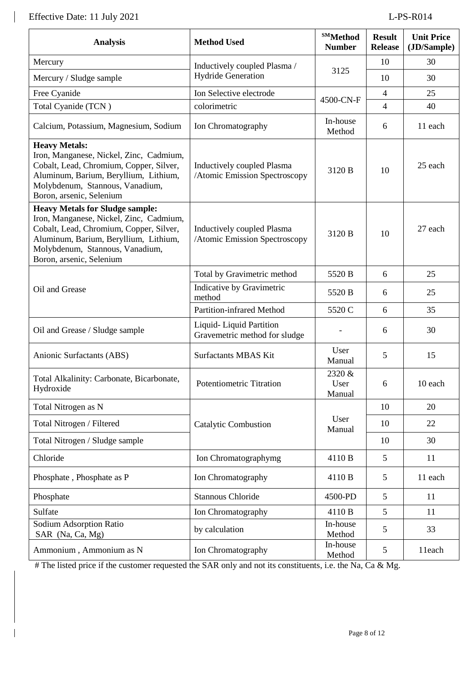| <b>Analysis</b>                                                                                                                                                                                                                                                                                     | <b>Method Used</b>                                          | <b>SMMethod</b><br><b>Number</b> | <b>Result</b><br><b>Release</b> | <b>Unit Price</b><br>(JD/Sample) |
|-----------------------------------------------------------------------------------------------------------------------------------------------------------------------------------------------------------------------------------------------------------------------------------------------------|-------------------------------------------------------------|----------------------------------|---------------------------------|----------------------------------|
| Mercury                                                                                                                                                                                                                                                                                             | Inductively coupled Plasma /                                |                                  | 10                              | 30                               |
| Mercury / Sludge sample                                                                                                                                                                                                                                                                             | <b>Hydride Generation</b>                                   | 3125                             | 10                              | 30                               |
| Free Cyanide                                                                                                                                                                                                                                                                                        | Ion Selective electrode                                     |                                  | $\overline{4}$                  | 25                               |
| Total Cyanide (TCN)                                                                                                                                                                                                                                                                                 | colorimetric                                                | 4500-CN-F                        | $\overline{4}$                  | 40                               |
| Calcium, Potassium, Magnesium, Sodium                                                                                                                                                                                                                                                               | Ion Chromatography                                          | In-house<br>Method               | 6                               | 11 each                          |
| <b>Heavy Metals:</b><br>Iron, Manganese, Nickel, Zinc, Cadmium,<br>Cobalt, Lead, Chromium, Copper, Silver,<br>Aluminum, Barium, Beryllium, Lithium,<br>Molybdenum, Stannous, Vanadium,<br>Boron, arsenic, Selenium                                                                                  | Inductively coupled Plasma<br>/Atomic Emission Spectroscopy | 3120 B                           | 10                              | 25 each                          |
| <b>Heavy Metals for Sludge sample:</b><br>Iron, Manganese, Nickel, Zinc, Cadmium,<br>Cobalt, Lead, Chromium, Copper, Silver,<br>Inductively coupled Plasma<br>Aluminum, Barium, Beryllium, Lithium,<br>/Atomic Emission Spectroscopy<br>Molybdenum, Stannous, Vanadium,<br>Boron, arsenic, Selenium |                                                             | 3120 B                           | 10                              | 27 each                          |
|                                                                                                                                                                                                                                                                                                     | Total by Gravimetric method                                 | 5520 B                           | 6                               | 25                               |
| Oil and Grease                                                                                                                                                                                                                                                                                      | Indicative by Gravimetric<br>method                         | 5520 B                           | 6                               | 25                               |
|                                                                                                                                                                                                                                                                                                     | Partition-infrared Method                                   | 5520 C                           | 6                               | 35                               |
| Oil and Grease / Sludge sample                                                                                                                                                                                                                                                                      | Liquid-Liquid Partition<br>Gravemetric method for sludge    |                                  | 6                               | 30                               |
| Anionic Surfactants (ABS)                                                                                                                                                                                                                                                                           | <b>Surfactants MBAS Kit</b>                                 | User<br>Manual                   | 5                               | 15                               |
| Total Alkalinity: Carbonate, Bicarbonate,<br>Hydroxide                                                                                                                                                                                                                                              | Potentiometric Titration                                    | 2320 &<br>User<br>Manual         | $\sqrt{6}$                      | 10 each                          |
| Total Nitrogen as N                                                                                                                                                                                                                                                                                 |                                                             |                                  | 10                              | 20                               |
| Total Nitrogen / Filtered                                                                                                                                                                                                                                                                           | <b>Catalytic Combustion</b>                                 | User<br>Manual                   | 10                              | 22                               |
| Total Nitrogen / Sludge sample                                                                                                                                                                                                                                                                      |                                                             |                                  | 10                              | 30                               |
| Chloride                                                                                                                                                                                                                                                                                            | Ion Chromatographymg                                        | 4110 B                           | 5                               | 11                               |
| Phosphate, Phosphate as P                                                                                                                                                                                                                                                                           | Ion Chromatography                                          | 4110 B                           | 5                               | 11 each                          |
| Phosphate                                                                                                                                                                                                                                                                                           | <b>Stannous Chloride</b>                                    | 4500-PD                          | 5                               | 11                               |
| Sulfate                                                                                                                                                                                                                                                                                             | Ion Chromatography                                          | 4110 B                           | 5                               | 11                               |
| Sodium Adsorption Ratio<br>SAR (Na, Ca, Mg)                                                                                                                                                                                                                                                         | by calculation                                              | In-house<br>Method               | 5                               | 33                               |
| Ammonium, Ammonium as N                                                                                                                                                                                                                                                                             | Ion Chromatography                                          | In-house<br>Method               | 5                               | 11each                           |

# The listed price if the customer requested the SAR only and not its constituents, i.e. the Na, Ca & Mg.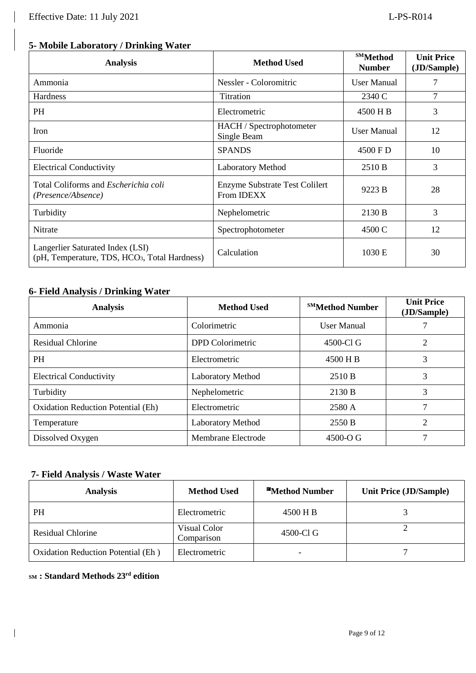# **5- Mobile Laboratory / Drinking Water**

| <b>Analysis</b>                                                                               | <b>Method Used</b>                                         | <b>SMMethod</b><br><b>Number</b> | <b>Unit Price</b><br>(JD/Sample) |
|-----------------------------------------------------------------------------------------------|------------------------------------------------------------|----------------------------------|----------------------------------|
| Ammonia                                                                                       | Nessler - Coloromitric                                     | <b>User Manual</b>               | 7                                |
| <b>Hardness</b>                                                                               | Titration                                                  | 2340 C                           | $\overline{7}$                   |
| PH                                                                                            | Electrometric                                              | 4500 H B                         | 3                                |
| Iron                                                                                          | HACH / Spectrophotometer<br>Single Beam                    | User Manual                      | 12                               |
| Fluoride                                                                                      | <b>SPANDS</b>                                              | 4500 F D                         | 10                               |
| <b>Electrical Conductivity</b>                                                                | <b>Laboratory Method</b>                                   | 2510 B                           | 3                                |
| Total Coliforms and <i>Escherichia coli</i><br>(Presence/Absence)                             | <b>Enzyme Substrate Test Colilert</b><br>From <b>IDEXX</b> | 9223 B                           | 28                               |
| Turbidity                                                                                     | Nephelometric                                              | 2130 B                           | 3                                |
| Nitrate                                                                                       | Spectrophotometer                                          | 4500 C                           | 12                               |
| Langerlier Saturated Index (LSI)<br>(pH, Temperature, TDS, HCO <sub>3</sub> , Total Hardness) | Calculation                                                | 1030 E                           | 30                               |

### **6- Field Analysis / Drinking Water**

| <b>Analysis</b>                           | <b>Method Used</b>       | <b>SMMethod Number</b> | <b>Unit Price</b><br>(JD/Sample) |
|-------------------------------------------|--------------------------|------------------------|----------------------------------|
| Ammonia                                   | Colorimetric             | User Manual            |                                  |
| <b>Residual Chlorine</b>                  | <b>DPD</b> Colorimetric  | 4500-Cl G              | ∍                                |
| <b>PH</b>                                 | Electrometric            | 4500 H B               | 3                                |
| <b>Electrical Conductivity</b>            | <b>Laboratory Method</b> | 2510 B                 | 3                                |
| Turbidity                                 | Nephelometric            | 2130 B                 | 3                                |
| <b>Oxidation Reduction Potential (Eh)</b> | Electrometric            | 2580 A                 |                                  |
| Temperature                               | <b>Laboratory Method</b> | 2550 B                 | 2                                |
| Dissolved Oxygen                          | Membrane Electrode       | $4500 - O \; G$        |                                  |

### **7- Field Analysis / Waste Water**

| <b>Analysis</b>                    | <b>Method Used</b>         | <b>SH</b> Method Number  | <b>Unit Price (JD/Sample)</b> |
|------------------------------------|----------------------------|--------------------------|-------------------------------|
| PH                                 | Electrometric              | 4500 H B                 |                               |
| <b>Residual Chlorine</b>           | Visual Color<br>Comparison | 4500-Cl G                |                               |
| Oxidation Reduction Potential (Eh) | Electrometric              | $\overline{\phantom{0}}$ |                               |

#### **SM : Standard Methods 23rd edition**

 $\overline{\phantom{a}}$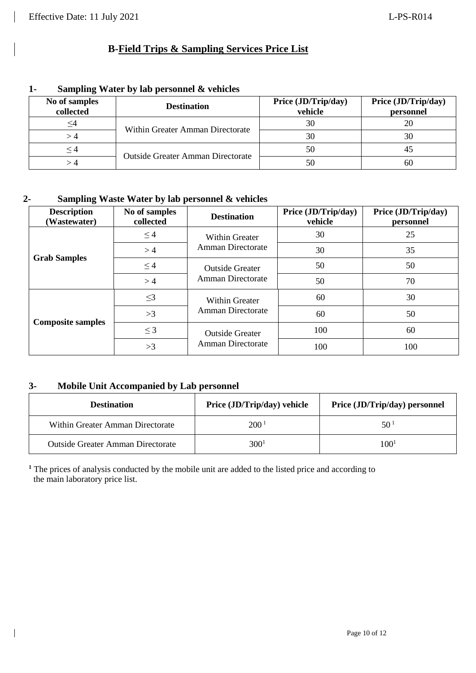| $\mathbf{I}$ | Sampling water by lab personnel & venicles |                                   |                                |                                  |  |  |
|--------------|--------------------------------------------|-----------------------------------|--------------------------------|----------------------------------|--|--|
|              | No of samples<br>collected                 | <b>Destination</b>                | Price (JD/Trip/day)<br>vehicle | Price (JD/Trip/day)<br>personnel |  |  |
|              |                                            | Within Greater Amman Directorate  | 30                             |                                  |  |  |
|              |                                            |                                   | 30                             | 30                               |  |  |
|              | $\leq 4$                                   |                                   | 50                             | 45                               |  |  |
|              |                                            | Outside Greater Amman Directorate | 50                             | 60                               |  |  |

# **1- Sampling Water by lab personnel & vehicles**

## **2- Sampling Waste Water by lab personnel & vehicles**

| <b>Description</b><br>(Wastewater) | No of samples<br>collected | <b>Destination</b>       | Price (JD/Trip/day)<br>vehicle | Price (JD/Trip/day)<br>personnel |
|------------------------------------|----------------------------|--------------------------|--------------------------------|----------------------------------|
|                                    | $\leq$ 4                   | Within Greater           | 30                             | 25                               |
|                                    | >4                         | Amman Directorate        | 30                             | 35                               |
| <b>Grab Samples</b>                | $\leq 4$                   | <b>Outside Greater</b>   | 50                             | 50                               |
|                                    | >4                         | <b>Amman Directorate</b> | 50                             | 70                               |
|                                    | $\leq$ 3                   | <b>Within Greater</b>    | 60                             | 30                               |
|                                    | >3                         | <b>Amman Directorate</b> | 60                             | 50                               |
| <b>Composite samples</b>           | $\leq$ 3                   | <b>Outside Greater</b>   | 100                            | 60                               |
|                                    | >3                         | <b>Amman Directorate</b> | 100                            | 100                              |

#### **3- Mobile Unit Accompanied by Lab personnel**

 $\overline{\phantom{a}}$ 

| <b>Destination</b>                       | Price (JD/Trip/day) vehicle | Price (JD/Trip/day) personnel |  |
|------------------------------------------|-----------------------------|-------------------------------|--|
| Within Greater Amman Directorate         | 200 <sup>1</sup>            | 50 1                          |  |
| <b>Outside Greater Amman Directorate</b> | 300 <sup>1</sup>            | 100 <sup>1</sup>              |  |

**<sup>1</sup>** The prices of analysis conducted by the mobile unit are added to the listed price and according to the main laboratory price list.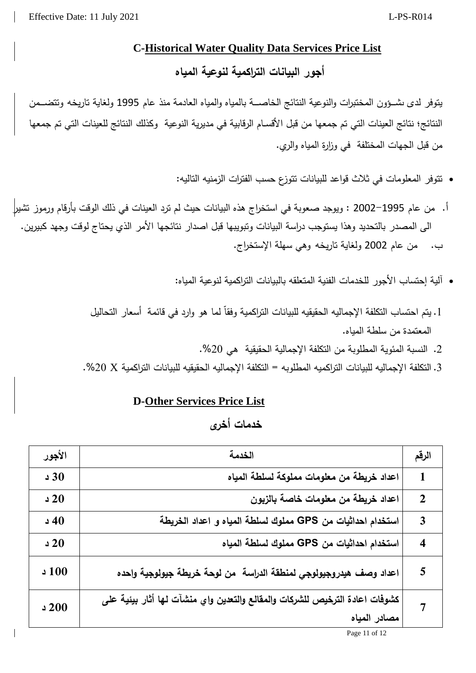#### **C-Historical Water Quality Data Services Price List**

**أجور البيانات التراكمية لنوعية المياه**

يتوفر لدى ىشئوون المختبرات والنوعية النتائج الخاصسة بالمياه والمياه العادمة منذ عام 1995 ولغاية تاريخه وتتضمض النتائج؛ نتائج العينات التي تم جمعها من قبل الأقسام الرقابية في مديرية النوعية وكذلك النتائج للعينات التي تم جمعها من قبل الجهات المختلفة في وزارة المياه والري.

- تتوفر المعلومات في ثلاث قواعد للبيانات تتوزع حسب الفترات الزمنيه التاليه:
- أ. من عام 1995–2002 : ويوجد صعوبة في استخراج هذه البيانات حيث لم ترد العينات في ذلك الوقت بأرقام ورموز تشير| الى المصدر بالتحديد وهذا يستوجب دراسة البيانات وتبويبها قبل اصدار نتائجها الأمر الذي يحتاج لوقت وجهد كبيرين. ب. من عام 2002 ولغاية تاريخه وهي سهلة الإستخراج.
	- آلية إحتساب الأجور للخدمات الفنية المتعلقه بالبيانات التراكمية لنوعية المباه:
	- 1 . يتم احتساب التكلفة الإجماليه الحقيقيه للبيانات التراكمية وفقاً لما هو وارد في قائمة أسعار التحاليل المعتمدة من سلطة المباه.
		- 2. النسبة المئوية المطلوبة من التكلفة الإجمالية الحقيقية هي 20%.
	- . التكلفة الإجماليه للبيانات التراكميه المطلوبه = التكلفة الإجماليه الحقيقيه للبيانات التراكمية X 20%.

## **D-Other Services Price List**

# **خدمات أخرى**

| الأجور      | الخدمة                                                                                      | الرقم                   |
|-------------|---------------------------------------------------------------------------------------------|-------------------------|
| 30          | اعداد خريطة من معلومات مملوكة لسلطة المياه                                                  | $\mathbf{1}$            |
| 20          | اعداد خريطة من معلومات خاصة بالزبون                                                         | $\mathbf{2}$            |
| $\sqrt{40}$ | استخدام احداثيات من GPS مملوك لسلطة المياه و اعداد الخريطة                                  | $\overline{\mathbf{3}}$ |
| 20          | استخدام احداثيات من GPS مملوك لسلطة المياه                                                  | $\overline{\mathbf{4}}$ |
| 100 د       | اعداد وصف هيدروجيولوجي لمنطقة الدراسة  من لوحة خريطة جيولوجية واحده                         | 5                       |
| 200         | كشوفات اعادة الترخيص للشركات والمقالع والتعدين واي منشآت لها أثار بيئية على<br>مصادر المياه |                         |

Page 11 of 12